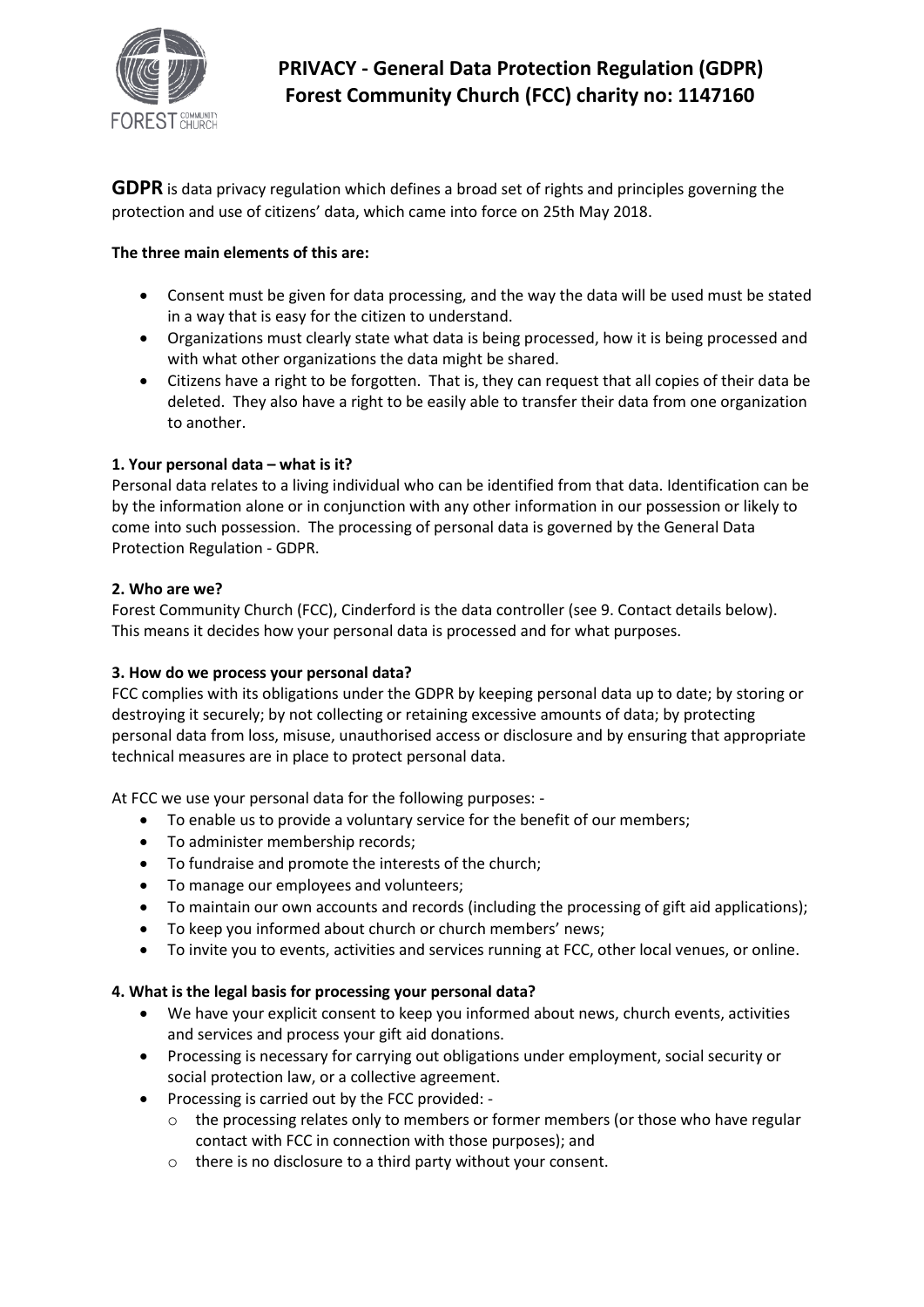

**GDPR** is data privacy regulation which defines a broad set of rights and principles governing the protection and use of citizens' data, which came into force on 25th May 2018.

## **The three main elements of this are:**

- Consent must be given for data processing, and the way the data will be used must be stated in a way that is easy for the citizen to understand.
- Organizations must clearly state what data is being processed, how it is being processed and with what other organizations the data might be shared.
- Citizens have a right to be forgotten. That is, they can request that all copies of their data be deleted. They also have a right to be easily able to transfer their data from one organization to another.

## **1. Your personal data – what is it?**

Personal data relates to a living individual who can be identified from that data. Identification can be by the information alone or in conjunction with any other information in our possession or likely to come into such possession. The processing of personal data is governed by the General Data Protection Regulation - GDPR.

## **2. Who are we?**

Forest Community Church (FCC), Cinderford is the data controller (see 9. Contact details below). This means it decides how your personal data is processed and for what purposes.

# **3. How do we process your personal data?**

FCC complies with its obligations under the GDPR by keeping personal data up to date; by storing or destroying it securely; by not collecting or retaining excessive amounts of data; by protecting personal data from loss, misuse, unauthorised access or disclosure and by ensuring that appropriate technical measures are in place to protect personal data.

At FCC we use your personal data for the following purposes: -

- To enable us to provide a voluntary service for the benefit of our members;
- To administer membership records;
- To fundraise and promote the interests of the church;
- To manage our employees and volunteers;
- To maintain our own accounts and records (including the processing of gift aid applications);
- To keep you informed about church or church members' news;
- To invite you to events, activities and services running at FCC, other local venues, or online.

#### **4. What is the legal basis for processing your personal data?**

- We have your explicit consent to keep you informed about news, church events, activities and services and process your gift aid donations.
- Processing is necessary for carrying out obligations under employment, social security or social protection law, or a collective agreement.
- Processing is carried out by the FCC provided:
	- $\circ$  the processing relates only to members or former members (or those who have regular contact with FCC in connection with those purposes); and
	- o there is no disclosure to a third party without your consent.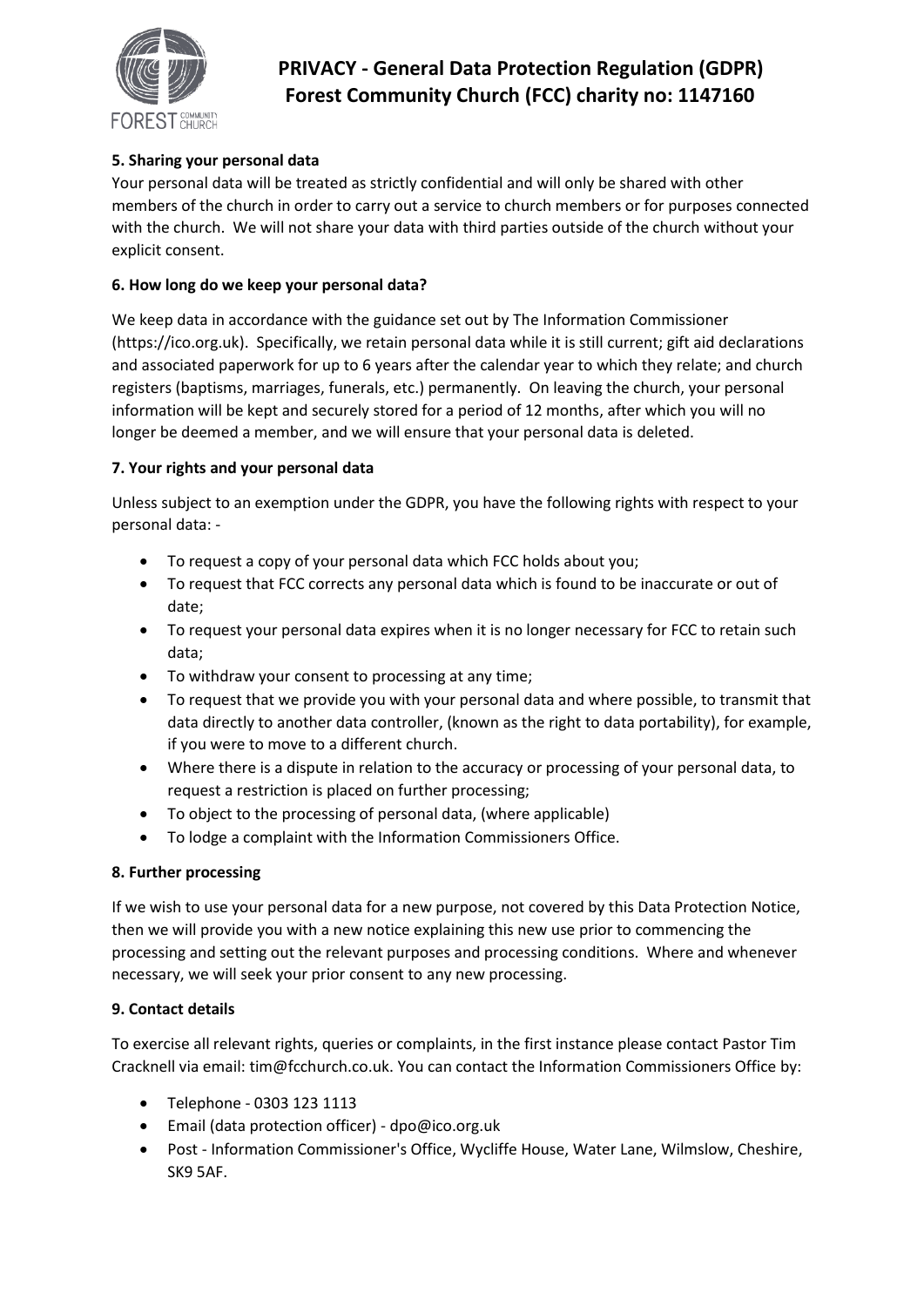

# **PRIVACY - General Data Protection Regulation (GDPR) Forest Community Church (FCC) charity no: 1147160**

# **5. Sharing your personal data**

Your personal data will be treated as strictly confidential and will only be shared with other members of the church in order to carry out a service to church members or for purposes connected with the church. We will not share your data with third parties outside of the church without your explicit consent.

## **6. How long do we keep your personal data?**

We keep data in accordance with the guidance set out by The Information Commissioner (https://ico.org.uk). Specifically, we retain personal data while it is still current; gift aid declarations and associated paperwork for up to 6 years after the calendar year to which they relate; and church registers (baptisms, marriages, funerals, etc.) permanently. On leaving the church, your personal information will be kept and securely stored for a period of 12 months, after which you will no longer be deemed a member, and we will ensure that your personal data is deleted.

## **7. Your rights and your personal data**

Unless subject to an exemption under the GDPR, you have the following rights with respect to your personal data: -

- To request a copy of your personal data which FCC holds about you;
- To request that FCC corrects any personal data which is found to be inaccurate or out of date;
- To request your personal data expires when it is no longer necessary for FCC to retain such data;
- To withdraw your consent to processing at any time;
- To request that we provide you with your personal data and where possible, to transmit that data directly to another data controller, (known as the right to data portability), for example, if you were to move to a different church.
- Where there is a dispute in relation to the accuracy or processing of your personal data, to request a restriction is placed on further processing;
- To object to the processing of personal data, (where applicable)
- To lodge a complaint with the Information Commissioners Office.

# **8. Further processing**

If we wish to use your personal data for a new purpose, not covered by this Data Protection Notice, then we will provide you with a new notice explaining this new use prior to commencing the processing and setting out the relevant purposes and processing conditions. Where and whenever necessary, we will seek your prior consent to any new processing.

# **9. Contact details**

To exercise all relevant rights, queries or complaints, in the first instance please contact Pastor Tim Cracknell via email: tim@fcchurch.co.uk. You can contact the Information Commissioners Office by:

- Telephone 0303 123 1113
- Email (data protection officer) dpo@ico.org.uk
- Post Information Commissioner's Office, Wycliffe House, Water Lane, Wilmslow, Cheshire, SK9 5AF.